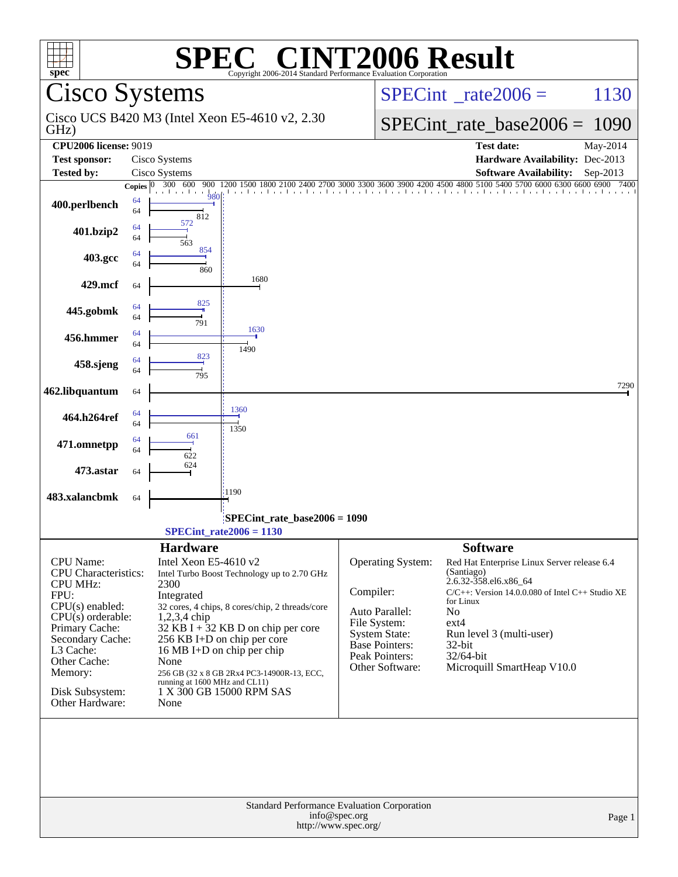| spec®                                                                  | $\bigcap$<br>Copyright 2006-2014 Standard Performance Evaluation Corporation | <b>INT2006 Result</b>                                                                        |  |  |  |  |  |
|------------------------------------------------------------------------|------------------------------------------------------------------------------|----------------------------------------------------------------------------------------------|--|--|--|--|--|
|                                                                        | <b>Cisco Systems</b>                                                         | $SPECint^{\circ}$ <sub>_rate2006</sub> =<br>1130                                             |  |  |  |  |  |
| GHz)                                                                   | Cisco UCS B420 M3 (Intel Xeon E5-4610 v2, 2.30)                              | $SPECint_rate_base2006 =$<br>1090                                                            |  |  |  |  |  |
| <b>CPU2006 license: 9019</b>                                           |                                                                              | <b>Test date:</b><br>May-2014                                                                |  |  |  |  |  |
| <b>Test sponsor:</b>                                                   | Cisco Systems                                                                | Hardware Availability: Dec-2013                                                              |  |  |  |  |  |
| <b>Tested by:</b>                                                      | Cisco Systems                                                                | <b>Software Availability:</b><br>Sep-2013                                                    |  |  |  |  |  |
|                                                                        | 300 600<br>900<br>Copies $ 0 $<br>980                                        | 2100 2400 2700 3000 3300 3600 3900 4200 4500 4800 5100 5400 5700 6000 6300 6600 6900<br>7400 |  |  |  |  |  |
| 400.perlbench                                                          | 64<br>64<br>812                                                              |                                                                                              |  |  |  |  |  |
| 401.bzip2                                                              | 572<br>64<br>64<br>563                                                       |                                                                                              |  |  |  |  |  |
| 403.gcc                                                                | 854<br>64<br>64<br>860                                                       |                                                                                              |  |  |  |  |  |
| 429.mcf                                                                | 1680<br>64                                                                   |                                                                                              |  |  |  |  |  |
| 445.gobmk                                                              | 825<br>64<br>64<br>791                                                       |                                                                                              |  |  |  |  |  |
| 456.hmmer                                                              | 1630<br>64<br>64<br>1490                                                     |                                                                                              |  |  |  |  |  |
| 458.sjeng                                                              | 823<br>64<br>64<br>795                                                       |                                                                                              |  |  |  |  |  |
| 462.libquantum                                                         | 64                                                                           | 7290                                                                                         |  |  |  |  |  |
| 464.h264ref                                                            | 1360<br>64<br>64<br>1350                                                     |                                                                                              |  |  |  |  |  |
| 471.omnetpp                                                            | 661<br>64<br>64<br>622                                                       |                                                                                              |  |  |  |  |  |
| 473.astar                                                              | 624<br>64                                                                    |                                                                                              |  |  |  |  |  |
| 483.xalancbmk                                                          | :1190<br>64                                                                  |                                                                                              |  |  |  |  |  |
|                                                                        | SPECint_rate_base2006 = 1090<br>$SPECint_rate2006 = 1130$                    |                                                                                              |  |  |  |  |  |
| <b>Hardware</b><br><b>Software</b>                                     |                                                                              |                                                                                              |  |  |  |  |  |
| <b>CPU</b> Name:<br>CPU Characteristics:                               | Intel Xeon E5-4610 v2<br>Intel Turbo Boost Technology up to 2.70 GHz         | Operating System:<br>Red Hat Enterprise Linux Server release 6.4<br>(Santiago)               |  |  |  |  |  |
| <b>CPU MHz:</b><br>FPU:                                                | 2300<br>Integrated                                                           | 2.6.32-358.el6.x86_64<br>Compiler:<br>$C/C++$ : Version 14.0.0.080 of Intel $C++$ Studio XE  |  |  |  |  |  |
| $CPU(s)$ enabled:                                                      | 32 cores, 4 chips, 8 cores/chip, 2 threads/core                              | for Linux<br>Auto Parallel:                                                                  |  |  |  |  |  |
| $CPU(s)$ orderable:                                                    | $1,2,3,4$ chip                                                               | No<br>File System:<br>$ext{4}$                                                               |  |  |  |  |  |
| Primary Cache:<br>Secondary Cache:                                     | 32 KB I + $32$ KB D on chip per core<br>256 KB I+D on chip per core          | <b>System State:</b><br>Run level 3 (multi-user)                                             |  |  |  |  |  |
| L3 Cache:                                                              | 16 MB I+D on chip per chip                                                   | <b>Base Pointers:</b><br>32-bit<br>Peak Pointers:<br>32/64-bit                               |  |  |  |  |  |
| Other Cache:<br>Memory:                                                | None<br>256 GB (32 x 8 GB 2Rx4 PC3-14900R-13, ECC,                           | Other Software:<br>Microquill SmartHeap V10.0                                                |  |  |  |  |  |
|                                                                        | running at 1600 MHz and CL11)                                                |                                                                                              |  |  |  |  |  |
| Disk Subsystem:<br>Other Hardware:                                     | 1 X 300 GB 15000 RPM SAS<br>None                                             |                                                                                              |  |  |  |  |  |
|                                                                        |                                                                              |                                                                                              |  |  |  |  |  |
| Standard Performance Evaluation Corporation<br>info@spec.org<br>Page 1 |                                                                              |                                                                                              |  |  |  |  |  |
| http://www.spec.org/                                                   |                                                                              |                                                                                              |  |  |  |  |  |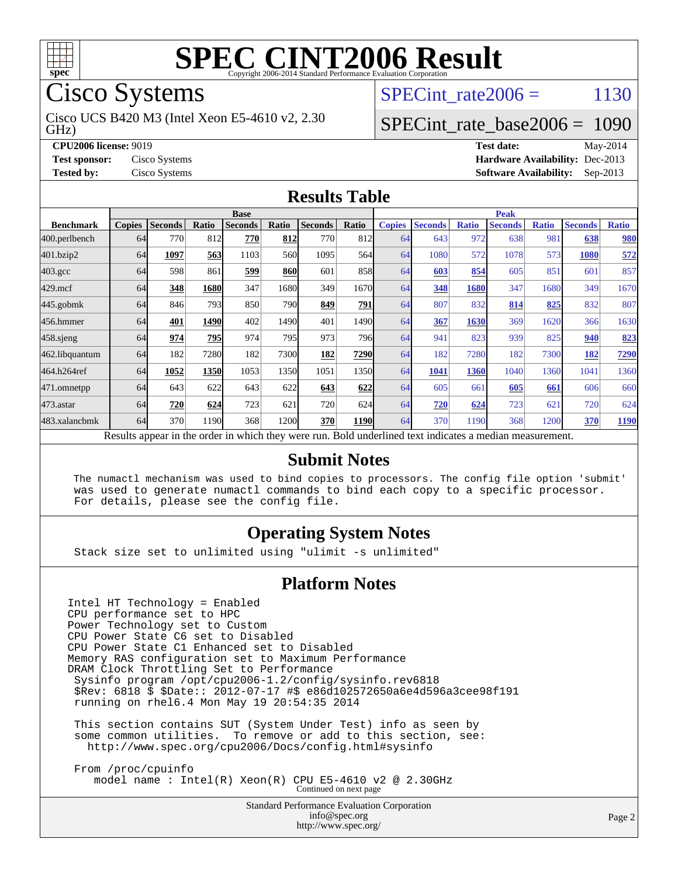

Cisco Systems

GHz) Cisco UCS B420 M3 (Intel Xeon E5-4610 v2, 2.30 SPECint rate $2006 = 1130$ 

### [SPECint\\_rate\\_base2006 =](http://www.spec.org/auto/cpu2006/Docs/result-fields.html#SPECintratebase2006) 1090

**[CPU2006 license:](http://www.spec.org/auto/cpu2006/Docs/result-fields.html#CPU2006license)** 9019 **[Test date:](http://www.spec.org/auto/cpu2006/Docs/result-fields.html#Testdate)** May-2014 **[Test sponsor:](http://www.spec.org/auto/cpu2006/Docs/result-fields.html#Testsponsor)** Cisco Systems **[Hardware Availability:](http://www.spec.org/auto/cpu2006/Docs/result-fields.html#HardwareAvailability)** Dec-2013 **[Tested by:](http://www.spec.org/auto/cpu2006/Docs/result-fields.html#Testedby)** Cisco Systems **[Software Availability:](http://www.spec.org/auto/cpu2006/Docs/result-fields.html#SoftwareAvailability)** Sep-2013

#### **[Results Table](http://www.spec.org/auto/cpu2006/Docs/result-fields.html#ResultsTable)**

|                    | <b>Base</b>   |                |       |                |             |                | <b>Peak</b> |               |                |              |                                                                                                          |              |                |              |
|--------------------|---------------|----------------|-------|----------------|-------------|----------------|-------------|---------------|----------------|--------------|----------------------------------------------------------------------------------------------------------|--------------|----------------|--------------|
| <b>Benchmark</b>   | <b>Copies</b> | <b>Seconds</b> | Ratio | <b>Seconds</b> | Ratio       | <b>Seconds</b> | Ratio       | <b>Copies</b> | <b>Seconds</b> | <b>Ratio</b> | <b>Seconds</b>                                                                                           | <b>Ratio</b> | <b>Seconds</b> | <b>Ratio</b> |
| 400.perlbench      | 64            | 770            | 812   | 770            | 812         | 7701           | 812         | 64            | 643            | 972          | 638                                                                                                      | 981          | 638            | 980          |
| 401.bzip2          | 64            | 1097           | 563   | 1103           | 560l        | 1095           | 564I        | 64            | 1080           | 572          | 1078                                                                                                     | 573          | 1080           | 572          |
| $403.\mathrm{gcc}$ | 64            | 598            | 861   | 599            | <b>860l</b> | 601            | 858         | 64            | 603            | 854          | 605                                                                                                      | 851          | 601            | 857          |
| $429$ .mcf         | 64            | 348            | 1680  | 347            | 1680        | 349            | 1670        | 64            | 348            | 1680         | 347                                                                                                      | 1680         | 349            | 1670         |
| $445$ .gobm $k$    | 64            | 846            | 793   | 850            | 790         | 849            | 791         | 64            | 807            | 832          | 814                                                                                                      | 825          | 832            | 807          |
| 456.hmmer          | 64            | 401            | 1490  | 402            | 1490        | 401            | 14901       | 64            | 367            | 1630         | 369                                                                                                      | 1620         | 366            | 1630         |
| $458$ .sjeng       | 64            | 974            | 795   | 974            | 795         | 973            | 796I        | 64            | 941            | 823          | 939                                                                                                      | 825          | 940            | 823          |
| 462.libquantum     | 64            | 182            | 7280  | 182            | 7300        | 182            | 7290        | 64            | 182            | 7280         | 182                                                                                                      | 7300         | 182            | 7290         |
| 464.h264ref        | 64            | 1052           | 1350  | 1053           | 1350        | 1051           | 1350        | 64            | 1041           | 1360         | 1040                                                                                                     | 1360         | 1041           | 1360         |
| 471.omnetpp        | 64            | 643            | 622   | 643            | 622         | 643            | 622         | 64            | 605            | 661          | 605                                                                                                      | 661          | 606            | 660          |
| $473$ . astar      | 64            | 720            | 624   | 723            | 621         | 720            | 624         | 64            | 720            | 624          | 723                                                                                                      | 621          | 720            | 624          |
| 483.xalancbmk      | 64            | 370            | 1190  | 368            | 1200        | 370            | 1190        | 64            | 370            | 1190         | 368                                                                                                      | 1200         | 370            | <b>1190</b>  |
|                    |               |                |       |                |             |                |             |               |                |              | Results appear in the order in which they were run. Bold underlined text indicates a median measurement. |              |                |              |

#### **[Submit Notes](http://www.spec.org/auto/cpu2006/Docs/result-fields.html#SubmitNotes)**

 The numactl mechanism was used to bind copies to processors. The config file option 'submit' was used to generate numactl commands to bind each copy to a specific processor. For details, please see the config file.

#### **[Operating System Notes](http://www.spec.org/auto/cpu2006/Docs/result-fields.html#OperatingSystemNotes)**

Stack size set to unlimited using "ulimit -s unlimited"

#### **[Platform Notes](http://www.spec.org/auto/cpu2006/Docs/result-fields.html#PlatformNotes)**

Intel HT Technology = Enabled CPU performance set to HPC Power Technology set to Custom CPU Power State C6 set to Disabled CPU Power State C1 Enhanced set to Disabled Memory RAS configuration set to Maximum Performance DRAM Clock Throttling Set to Performance Sysinfo program /opt/cpu2006-1.2/config/sysinfo.rev6818 \$Rev: 6818 \$ \$Date:: 2012-07-17 #\$ e86d102572650a6e4d596a3cee98f191 running on rhel6.4 Mon May 19 20:54:35 2014

 This section contains SUT (System Under Test) info as seen by some common utilities. To remove or add to this section, see: <http://www.spec.org/cpu2006/Docs/config.html#sysinfo>

 From /proc/cpuinfo model name : Intel(R) Xeon(R) CPU E5-4610 v2 @ 2.30GHz Continued on next page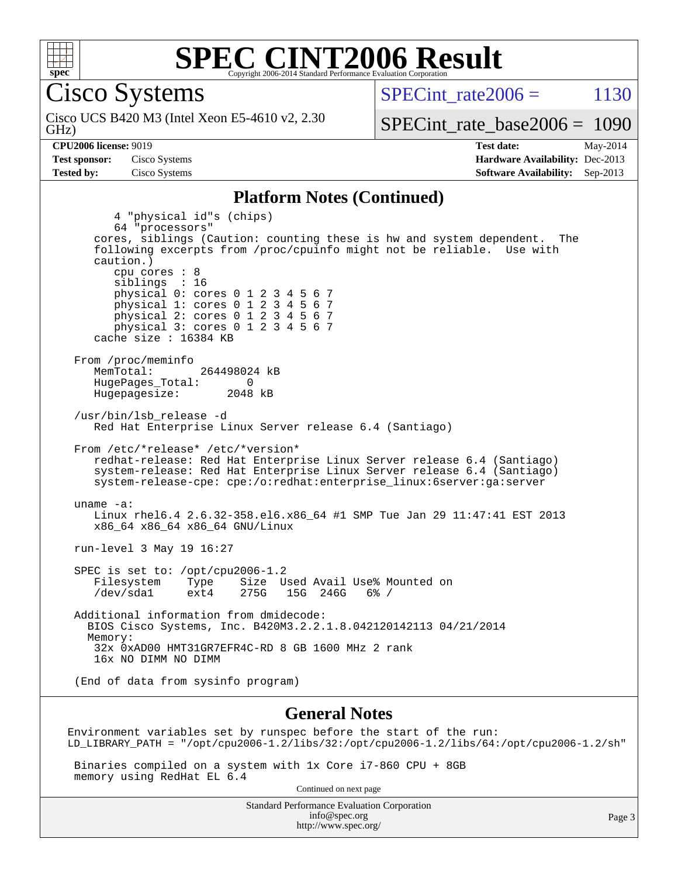

Cisco Systems

GHz) Cisco UCS B420 M3 (Intel Xeon E5-4610 v2, 2.30 SPECint rate $2006 = 1130$ 

[SPECint\\_rate\\_base2006 =](http://www.spec.org/auto/cpu2006/Docs/result-fields.html#SPECintratebase2006) 1090

**[CPU2006 license:](http://www.spec.org/auto/cpu2006/Docs/result-fields.html#CPU2006license)** 9019 **[Test date:](http://www.spec.org/auto/cpu2006/Docs/result-fields.html#Testdate)** May-2014 **[Test sponsor:](http://www.spec.org/auto/cpu2006/Docs/result-fields.html#Testsponsor)** Cisco Systems **[Hardware Availability:](http://www.spec.org/auto/cpu2006/Docs/result-fields.html#HardwareAvailability)** Dec-2013 **[Tested by:](http://www.spec.org/auto/cpu2006/Docs/result-fields.html#Testedby)** Cisco Systems **[Software Availability:](http://www.spec.org/auto/cpu2006/Docs/result-fields.html#SoftwareAvailability)** Sep-2013

#### **[Platform Notes \(Continued\)](http://www.spec.org/auto/cpu2006/Docs/result-fields.html#PlatformNotes)**

 4 "physical id"s (chips) 64 "processors" cores, siblings (Caution: counting these is hw and system dependent. The following excerpts from /proc/cpuinfo might not be reliable. Use with caution.) cpu cores : 8 siblings : 16 physical 0: cores 0 1 2 3 4 5 6 7 physical 1: cores 0 1 2 3 4 5 6 7 physical 2: cores 0 1 2 3 4 5 6 7 physical 3: cores 0 1 2 3 4 5 6 7 cache size : 16384 KB From /proc/meminfo<br>MemTotal: 264498024 kB HugePages\_Total: 0<br>Hugepagesize: 2048 kB Hugepagesize: /usr/bin/lsb\_release -d Red Hat Enterprise Linux Server release 6.4 (Santiago) From /etc/\*release\* /etc/\*version\* redhat-release: Red Hat Enterprise Linux Server release 6.4 (Santiago) system-release: Red Hat Enterprise Linux Server release 6.4 (Santiago) system-release-cpe: cpe:/o:redhat:enterprise\_linux:6server:ga:server uname -a: Linux rhel6.4 2.6.32-358.el6.x86\_64 #1 SMP Tue Jan 29 11:47:41 EST 2013 x86\_64 x86\_64 x86\_64 GNU/Linux run-level 3 May 19 16:27 SPEC is set to: /opt/cpu2006-1.2 Filesystem Type Size Used Avail Use% Mounted on<br>
/dev/sda1 ext4 275G 15G 246G 6% /  $15G$   $246G$  6% / Additional information from dmidecode: BIOS Cisco Systems, Inc. B420M3.2.2.1.8.042120142113 04/21/2014 Memory: 32x 0xAD00 HMT31GR7EFR4C-RD 8 GB 1600 MHz 2 rank 16x NO DIMM NO DIMM (End of data from sysinfo program)

#### **[General Notes](http://www.spec.org/auto/cpu2006/Docs/result-fields.html#GeneralNotes)**

Environment variables set by runspec before the start of the run: LD\_LIBRARY\_PATH = "/opt/cpu2006-1.2/libs/32:/opt/cpu2006-1.2/libs/64:/opt/cpu2006-1.2/sh"

 Binaries compiled on a system with 1x Core i7-860 CPU + 8GB memory using RedHat EL 6.4

Continued on next page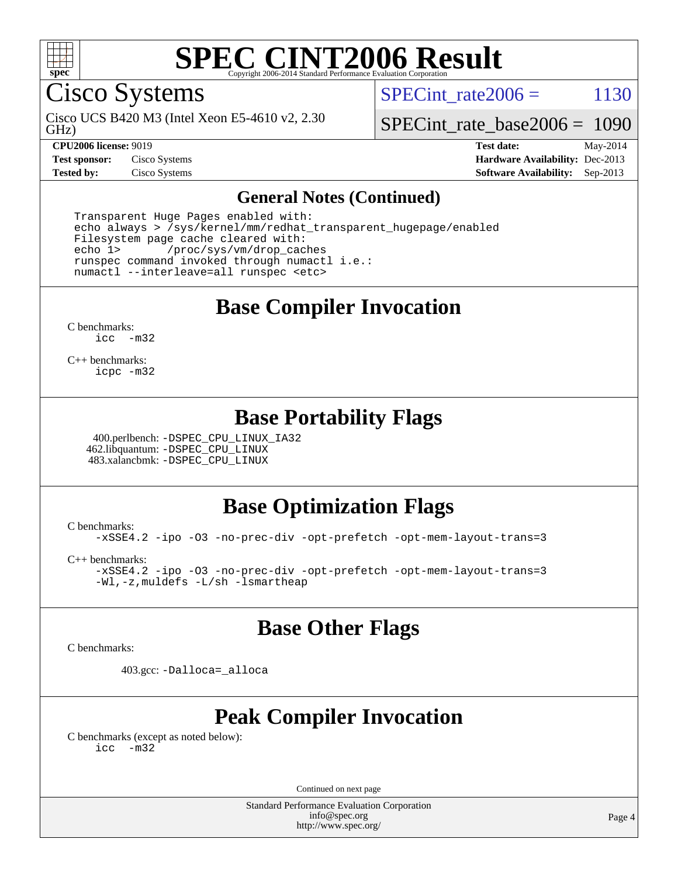

Cisco Systems

GHz) Cisco UCS B420 M3 (Intel Xeon E5-4610 v2, 2.30 SPECint rate $2006 = 1130$ 

[SPECint\\_rate\\_base2006 =](http://www.spec.org/auto/cpu2006/Docs/result-fields.html#SPECintratebase2006) 1090

**[CPU2006 license:](http://www.spec.org/auto/cpu2006/Docs/result-fields.html#CPU2006license)** 9019 **[Test date:](http://www.spec.org/auto/cpu2006/Docs/result-fields.html#Testdate)** May-2014 **[Test sponsor:](http://www.spec.org/auto/cpu2006/Docs/result-fields.html#Testsponsor)** Cisco Systems **[Hardware Availability:](http://www.spec.org/auto/cpu2006/Docs/result-fields.html#HardwareAvailability)** Dec-2013 **[Tested by:](http://www.spec.org/auto/cpu2006/Docs/result-fields.html#Testedby)** Cisco Systems **[Software Availability:](http://www.spec.org/auto/cpu2006/Docs/result-fields.html#SoftwareAvailability)** Sep-2013

#### **[General Notes \(Continued\)](http://www.spec.org/auto/cpu2006/Docs/result-fields.html#GeneralNotes)**

 Transparent Huge Pages enabled with: echo always > /sys/kernel/mm/redhat\_transparent\_hugepage/enabled Filesystem page cache cleared with: echo 1> /proc/sys/vm/drop\_caches runspec command invoked through numactl i.e.: numactl --interleave=all runspec <etc>

**[Base Compiler Invocation](http://www.spec.org/auto/cpu2006/Docs/result-fields.html#BaseCompilerInvocation)**

[C benchmarks](http://www.spec.org/auto/cpu2006/Docs/result-fields.html#Cbenchmarks): [icc -m32](http://www.spec.org/cpu2006/results/res2014q3/cpu2006-20140606-29827.flags.html#user_CCbase_intel_icc_5ff4a39e364c98233615fdd38438c6f2)

[C++ benchmarks:](http://www.spec.org/auto/cpu2006/Docs/result-fields.html#CXXbenchmarks) [icpc -m32](http://www.spec.org/cpu2006/results/res2014q3/cpu2006-20140606-29827.flags.html#user_CXXbase_intel_icpc_4e5a5ef1a53fd332b3c49e69c3330699)

### **[Base Portability Flags](http://www.spec.org/auto/cpu2006/Docs/result-fields.html#BasePortabilityFlags)**

 400.perlbench: [-DSPEC\\_CPU\\_LINUX\\_IA32](http://www.spec.org/cpu2006/results/res2014q3/cpu2006-20140606-29827.flags.html#b400.perlbench_baseCPORTABILITY_DSPEC_CPU_LINUX_IA32) 462.libquantum: [-DSPEC\\_CPU\\_LINUX](http://www.spec.org/cpu2006/results/res2014q3/cpu2006-20140606-29827.flags.html#b462.libquantum_baseCPORTABILITY_DSPEC_CPU_LINUX) 483.xalancbmk: [-DSPEC\\_CPU\\_LINUX](http://www.spec.org/cpu2006/results/res2014q3/cpu2006-20140606-29827.flags.html#b483.xalancbmk_baseCXXPORTABILITY_DSPEC_CPU_LINUX)

### **[Base Optimization Flags](http://www.spec.org/auto/cpu2006/Docs/result-fields.html#BaseOptimizationFlags)**

[C benchmarks](http://www.spec.org/auto/cpu2006/Docs/result-fields.html#Cbenchmarks):

[-xSSE4.2](http://www.spec.org/cpu2006/results/res2014q3/cpu2006-20140606-29827.flags.html#user_CCbase_f-xSSE42_f91528193cf0b216347adb8b939d4107) [-ipo](http://www.spec.org/cpu2006/results/res2014q3/cpu2006-20140606-29827.flags.html#user_CCbase_f-ipo) [-O3](http://www.spec.org/cpu2006/results/res2014q3/cpu2006-20140606-29827.flags.html#user_CCbase_f-O3) [-no-prec-div](http://www.spec.org/cpu2006/results/res2014q3/cpu2006-20140606-29827.flags.html#user_CCbase_f-no-prec-div) [-opt-prefetch](http://www.spec.org/cpu2006/results/res2014q3/cpu2006-20140606-29827.flags.html#user_CCbase_f-opt-prefetch) [-opt-mem-layout-trans=3](http://www.spec.org/cpu2006/results/res2014q3/cpu2006-20140606-29827.flags.html#user_CCbase_f-opt-mem-layout-trans_a7b82ad4bd7abf52556d4961a2ae94d5)

[C++ benchmarks:](http://www.spec.org/auto/cpu2006/Docs/result-fields.html#CXXbenchmarks)

[-xSSE4.2](http://www.spec.org/cpu2006/results/res2014q3/cpu2006-20140606-29827.flags.html#user_CXXbase_f-xSSE42_f91528193cf0b216347adb8b939d4107) [-ipo](http://www.spec.org/cpu2006/results/res2014q3/cpu2006-20140606-29827.flags.html#user_CXXbase_f-ipo) [-O3](http://www.spec.org/cpu2006/results/res2014q3/cpu2006-20140606-29827.flags.html#user_CXXbase_f-O3) [-no-prec-div](http://www.spec.org/cpu2006/results/res2014q3/cpu2006-20140606-29827.flags.html#user_CXXbase_f-no-prec-div) [-opt-prefetch](http://www.spec.org/cpu2006/results/res2014q3/cpu2006-20140606-29827.flags.html#user_CXXbase_f-opt-prefetch) [-opt-mem-layout-trans=3](http://www.spec.org/cpu2006/results/res2014q3/cpu2006-20140606-29827.flags.html#user_CXXbase_f-opt-mem-layout-trans_a7b82ad4bd7abf52556d4961a2ae94d5) [-Wl,-z,muldefs](http://www.spec.org/cpu2006/results/res2014q3/cpu2006-20140606-29827.flags.html#user_CXXbase_link_force_multiple1_74079c344b956b9658436fd1b6dd3a8a) [-L/sh -lsmartheap](http://www.spec.org/cpu2006/results/res2014q3/cpu2006-20140606-29827.flags.html#user_CXXbase_SmartHeap_32f6c82aa1ed9c52345d30cf6e4a0499)

### **[Base Other Flags](http://www.spec.org/auto/cpu2006/Docs/result-fields.html#BaseOtherFlags)**

[C benchmarks](http://www.spec.org/auto/cpu2006/Docs/result-fields.html#Cbenchmarks):

403.gcc: [-Dalloca=\\_alloca](http://www.spec.org/cpu2006/results/res2014q3/cpu2006-20140606-29827.flags.html#b403.gcc_baseEXTRA_CFLAGS_Dalloca_be3056838c12de2578596ca5467af7f3)

### **[Peak Compiler Invocation](http://www.spec.org/auto/cpu2006/Docs/result-fields.html#PeakCompilerInvocation)**

[C benchmarks \(except as noted below\)](http://www.spec.org/auto/cpu2006/Docs/result-fields.html#Cbenchmarksexceptasnotedbelow): [icc -m32](http://www.spec.org/cpu2006/results/res2014q3/cpu2006-20140606-29827.flags.html#user_CCpeak_intel_icc_5ff4a39e364c98233615fdd38438c6f2)

Continued on next page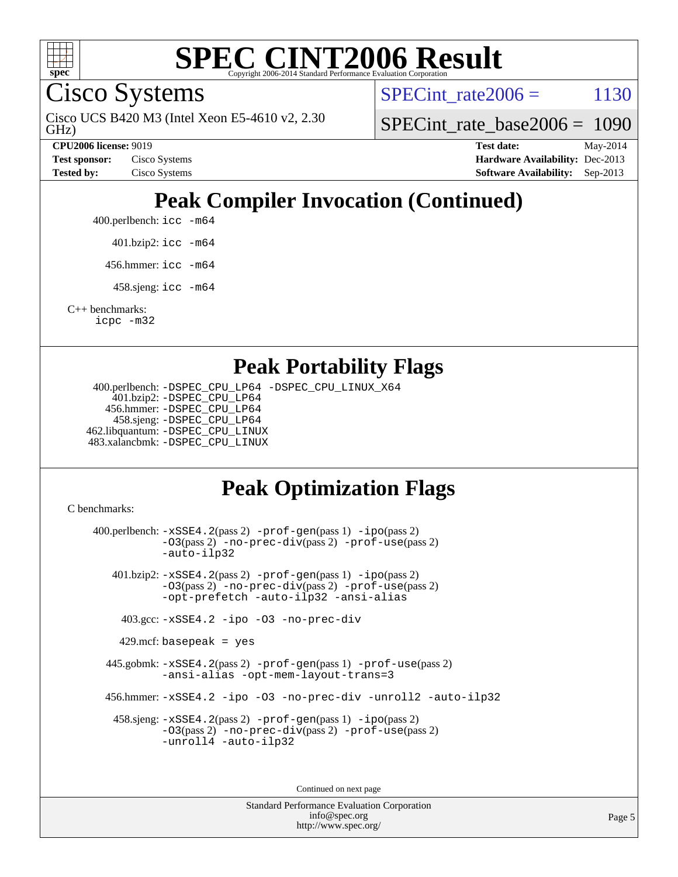

Cisco Systems

GHz) Cisco UCS B420 M3 (Intel Xeon E5-4610 v2, 2.30 SPECint rate $2006 = 1130$ 

[SPECint\\_rate\\_base2006 =](http://www.spec.org/auto/cpu2006/Docs/result-fields.html#SPECintratebase2006) 1090

**[CPU2006 license:](http://www.spec.org/auto/cpu2006/Docs/result-fields.html#CPU2006license)** 9019 **[Test date:](http://www.spec.org/auto/cpu2006/Docs/result-fields.html#Testdate)** May-2014 **[Test sponsor:](http://www.spec.org/auto/cpu2006/Docs/result-fields.html#Testsponsor)** Cisco Systems **[Hardware Availability:](http://www.spec.org/auto/cpu2006/Docs/result-fields.html#HardwareAvailability)** Dec-2013 **[Tested by:](http://www.spec.org/auto/cpu2006/Docs/result-fields.html#Testedby)** Cisco Systems **[Software Availability:](http://www.spec.org/auto/cpu2006/Docs/result-fields.html#SoftwareAvailability)** Sep-2013

# **[Peak Compiler Invocation \(Continued\)](http://www.spec.org/auto/cpu2006/Docs/result-fields.html#PeakCompilerInvocation)**

400.perlbench: [icc -m64](http://www.spec.org/cpu2006/results/res2014q3/cpu2006-20140606-29827.flags.html#user_peakCCLD400_perlbench_intel_icc_64bit_bda6cc9af1fdbb0edc3795bac97ada53)

401.bzip2: [icc -m64](http://www.spec.org/cpu2006/results/res2014q3/cpu2006-20140606-29827.flags.html#user_peakCCLD401_bzip2_intel_icc_64bit_bda6cc9af1fdbb0edc3795bac97ada53)

456.hmmer: [icc -m64](http://www.spec.org/cpu2006/results/res2014q3/cpu2006-20140606-29827.flags.html#user_peakCCLD456_hmmer_intel_icc_64bit_bda6cc9af1fdbb0edc3795bac97ada53)

458.sjeng: [icc -m64](http://www.spec.org/cpu2006/results/res2014q3/cpu2006-20140606-29827.flags.html#user_peakCCLD458_sjeng_intel_icc_64bit_bda6cc9af1fdbb0edc3795bac97ada53)

[C++ benchmarks:](http://www.spec.org/auto/cpu2006/Docs/result-fields.html#CXXbenchmarks) [icpc -m32](http://www.spec.org/cpu2006/results/res2014q3/cpu2006-20140606-29827.flags.html#user_CXXpeak_intel_icpc_4e5a5ef1a53fd332b3c49e69c3330699)

#### **[Peak Portability Flags](http://www.spec.org/auto/cpu2006/Docs/result-fields.html#PeakPortabilityFlags)**

 400.perlbench: [-DSPEC\\_CPU\\_LP64](http://www.spec.org/cpu2006/results/res2014q3/cpu2006-20140606-29827.flags.html#b400.perlbench_peakCPORTABILITY_DSPEC_CPU_LP64) [-DSPEC\\_CPU\\_LINUX\\_X64](http://www.spec.org/cpu2006/results/res2014q3/cpu2006-20140606-29827.flags.html#b400.perlbench_peakCPORTABILITY_DSPEC_CPU_LINUX_X64) 401.bzip2: [-DSPEC\\_CPU\\_LP64](http://www.spec.org/cpu2006/results/res2014q3/cpu2006-20140606-29827.flags.html#suite_peakCPORTABILITY401_bzip2_DSPEC_CPU_LP64) 456.hmmer: [-DSPEC\\_CPU\\_LP64](http://www.spec.org/cpu2006/results/res2014q3/cpu2006-20140606-29827.flags.html#suite_peakCPORTABILITY456_hmmer_DSPEC_CPU_LP64) 458.sjeng: [-DSPEC\\_CPU\\_LP64](http://www.spec.org/cpu2006/results/res2014q3/cpu2006-20140606-29827.flags.html#suite_peakCPORTABILITY458_sjeng_DSPEC_CPU_LP64) 462.libquantum: [-DSPEC\\_CPU\\_LINUX](http://www.spec.org/cpu2006/results/res2014q3/cpu2006-20140606-29827.flags.html#b462.libquantum_peakCPORTABILITY_DSPEC_CPU_LINUX) 483.xalancbmk: [-DSPEC\\_CPU\\_LINUX](http://www.spec.org/cpu2006/results/res2014q3/cpu2006-20140606-29827.flags.html#b483.xalancbmk_peakCXXPORTABILITY_DSPEC_CPU_LINUX)

## **[Peak Optimization Flags](http://www.spec.org/auto/cpu2006/Docs/result-fields.html#PeakOptimizationFlags)**

[C benchmarks](http://www.spec.org/auto/cpu2006/Docs/result-fields.html#Cbenchmarks):

 400.perlbench: [-xSSE4.2](http://www.spec.org/cpu2006/results/res2014q3/cpu2006-20140606-29827.flags.html#user_peakPASS2_CFLAGSPASS2_LDCFLAGS400_perlbench_f-xSSE42_f91528193cf0b216347adb8b939d4107)(pass 2) [-prof-gen](http://www.spec.org/cpu2006/results/res2014q3/cpu2006-20140606-29827.flags.html#user_peakPASS1_CFLAGSPASS1_LDCFLAGS400_perlbench_prof_gen_e43856698f6ca7b7e442dfd80e94a8fc)(pass 1) [-ipo](http://www.spec.org/cpu2006/results/res2014q3/cpu2006-20140606-29827.flags.html#user_peakPASS2_CFLAGSPASS2_LDCFLAGS400_perlbench_f-ipo)(pass 2) [-O3](http://www.spec.org/cpu2006/results/res2014q3/cpu2006-20140606-29827.flags.html#user_peakPASS2_CFLAGSPASS2_LDCFLAGS400_perlbench_f-O3)(pass 2) [-no-prec-div](http://www.spec.org/cpu2006/results/res2014q3/cpu2006-20140606-29827.flags.html#user_peakPASS2_CFLAGSPASS2_LDCFLAGS400_perlbench_f-no-prec-div)(pass 2) [-prof-use](http://www.spec.org/cpu2006/results/res2014q3/cpu2006-20140606-29827.flags.html#user_peakPASS2_CFLAGSPASS2_LDCFLAGS400_perlbench_prof_use_bccf7792157ff70d64e32fe3e1250b55)(pass 2) [-auto-ilp32](http://www.spec.org/cpu2006/results/res2014q3/cpu2006-20140606-29827.flags.html#user_peakCOPTIMIZE400_perlbench_f-auto-ilp32) 401.bzip2: [-xSSE4.2](http://www.spec.org/cpu2006/results/res2014q3/cpu2006-20140606-29827.flags.html#user_peakPASS2_CFLAGSPASS2_LDCFLAGS401_bzip2_f-xSSE42_f91528193cf0b216347adb8b939d4107)(pass 2) [-prof-gen](http://www.spec.org/cpu2006/results/res2014q3/cpu2006-20140606-29827.flags.html#user_peakPASS1_CFLAGSPASS1_LDCFLAGS401_bzip2_prof_gen_e43856698f6ca7b7e442dfd80e94a8fc)(pass 1) [-ipo](http://www.spec.org/cpu2006/results/res2014q3/cpu2006-20140606-29827.flags.html#user_peakPASS2_CFLAGSPASS2_LDCFLAGS401_bzip2_f-ipo)(pass 2) [-O3](http://www.spec.org/cpu2006/results/res2014q3/cpu2006-20140606-29827.flags.html#user_peakPASS2_CFLAGSPASS2_LDCFLAGS401_bzip2_f-O3)(pass 2) [-no-prec-div](http://www.spec.org/cpu2006/results/res2014q3/cpu2006-20140606-29827.flags.html#user_peakPASS2_CFLAGSPASS2_LDCFLAGS401_bzip2_f-no-prec-div)(pass 2) [-prof-use](http://www.spec.org/cpu2006/results/res2014q3/cpu2006-20140606-29827.flags.html#user_peakPASS2_CFLAGSPASS2_LDCFLAGS401_bzip2_prof_use_bccf7792157ff70d64e32fe3e1250b55)(pass 2) [-opt-prefetch](http://www.spec.org/cpu2006/results/res2014q3/cpu2006-20140606-29827.flags.html#user_peakCOPTIMIZE401_bzip2_f-opt-prefetch) [-auto-ilp32](http://www.spec.org/cpu2006/results/res2014q3/cpu2006-20140606-29827.flags.html#user_peakCOPTIMIZE401_bzip2_f-auto-ilp32) [-ansi-alias](http://www.spec.org/cpu2006/results/res2014q3/cpu2006-20140606-29827.flags.html#user_peakCOPTIMIZE401_bzip2_f-ansi-alias) 403.gcc: [-xSSE4.2](http://www.spec.org/cpu2006/results/res2014q3/cpu2006-20140606-29827.flags.html#user_peakCOPTIMIZE403_gcc_f-xSSE42_f91528193cf0b216347adb8b939d4107) [-ipo](http://www.spec.org/cpu2006/results/res2014q3/cpu2006-20140606-29827.flags.html#user_peakCOPTIMIZE403_gcc_f-ipo) [-O3](http://www.spec.org/cpu2006/results/res2014q3/cpu2006-20140606-29827.flags.html#user_peakCOPTIMIZE403_gcc_f-O3) [-no-prec-div](http://www.spec.org/cpu2006/results/res2014q3/cpu2006-20140606-29827.flags.html#user_peakCOPTIMIZE403_gcc_f-no-prec-div)  $429$ .mcf: basepeak = yes 445.gobmk: [-xSSE4.2](http://www.spec.org/cpu2006/results/res2014q3/cpu2006-20140606-29827.flags.html#user_peakPASS2_CFLAGSPASS2_LDCFLAGS445_gobmk_f-xSSE42_f91528193cf0b216347adb8b939d4107)(pass 2) [-prof-gen](http://www.spec.org/cpu2006/results/res2014q3/cpu2006-20140606-29827.flags.html#user_peakPASS1_CFLAGSPASS1_LDCFLAGS445_gobmk_prof_gen_e43856698f6ca7b7e442dfd80e94a8fc)(pass 1) [-prof-use](http://www.spec.org/cpu2006/results/res2014q3/cpu2006-20140606-29827.flags.html#user_peakPASS2_CFLAGSPASS2_LDCFLAGS445_gobmk_prof_use_bccf7792157ff70d64e32fe3e1250b55)(pass 2) [-ansi-alias](http://www.spec.org/cpu2006/results/res2014q3/cpu2006-20140606-29827.flags.html#user_peakCOPTIMIZE445_gobmk_f-ansi-alias) [-opt-mem-layout-trans=3](http://www.spec.org/cpu2006/results/res2014q3/cpu2006-20140606-29827.flags.html#user_peakCOPTIMIZE445_gobmk_f-opt-mem-layout-trans_a7b82ad4bd7abf52556d4961a2ae94d5) 456.hmmer: [-xSSE4.2](http://www.spec.org/cpu2006/results/res2014q3/cpu2006-20140606-29827.flags.html#user_peakCOPTIMIZE456_hmmer_f-xSSE42_f91528193cf0b216347adb8b939d4107) [-ipo](http://www.spec.org/cpu2006/results/res2014q3/cpu2006-20140606-29827.flags.html#user_peakCOPTIMIZE456_hmmer_f-ipo) [-O3](http://www.spec.org/cpu2006/results/res2014q3/cpu2006-20140606-29827.flags.html#user_peakCOPTIMIZE456_hmmer_f-O3) [-no-prec-div](http://www.spec.org/cpu2006/results/res2014q3/cpu2006-20140606-29827.flags.html#user_peakCOPTIMIZE456_hmmer_f-no-prec-div) [-unroll2](http://www.spec.org/cpu2006/results/res2014q3/cpu2006-20140606-29827.flags.html#user_peakCOPTIMIZE456_hmmer_f-unroll_784dae83bebfb236979b41d2422d7ec2) [-auto-ilp32](http://www.spec.org/cpu2006/results/res2014q3/cpu2006-20140606-29827.flags.html#user_peakCOPTIMIZE456_hmmer_f-auto-ilp32) 458.sjeng: [-xSSE4.2](http://www.spec.org/cpu2006/results/res2014q3/cpu2006-20140606-29827.flags.html#user_peakPASS2_CFLAGSPASS2_LDCFLAGS458_sjeng_f-xSSE42_f91528193cf0b216347adb8b939d4107)(pass 2) [-prof-gen](http://www.spec.org/cpu2006/results/res2014q3/cpu2006-20140606-29827.flags.html#user_peakPASS1_CFLAGSPASS1_LDCFLAGS458_sjeng_prof_gen_e43856698f6ca7b7e442dfd80e94a8fc)(pass 1) [-ipo](http://www.spec.org/cpu2006/results/res2014q3/cpu2006-20140606-29827.flags.html#user_peakPASS2_CFLAGSPASS2_LDCFLAGS458_sjeng_f-ipo)(pass 2) [-O3](http://www.spec.org/cpu2006/results/res2014q3/cpu2006-20140606-29827.flags.html#user_peakPASS2_CFLAGSPASS2_LDCFLAGS458_sjeng_f-O3)(pass 2) [-no-prec-div](http://www.spec.org/cpu2006/results/res2014q3/cpu2006-20140606-29827.flags.html#user_peakPASS2_CFLAGSPASS2_LDCFLAGS458_sjeng_f-no-prec-div)(pass 2) [-prof-use](http://www.spec.org/cpu2006/results/res2014q3/cpu2006-20140606-29827.flags.html#user_peakPASS2_CFLAGSPASS2_LDCFLAGS458_sjeng_prof_use_bccf7792157ff70d64e32fe3e1250b55)(pass 2) [-unroll4](http://www.spec.org/cpu2006/results/res2014q3/cpu2006-20140606-29827.flags.html#user_peakCOPTIMIZE458_sjeng_f-unroll_4e5e4ed65b7fd20bdcd365bec371b81f) [-auto-ilp32](http://www.spec.org/cpu2006/results/res2014q3/cpu2006-20140606-29827.flags.html#user_peakCOPTIMIZE458_sjeng_f-auto-ilp32) Continued on next page